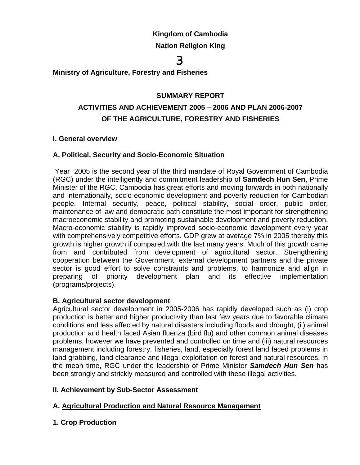# **Kingdom of Cambodia**

# **Nation Religion King**

# 3.

# **Ministry of Agriculture, Forestry and Fisheries**

## **SUMMARY REPORT**

# **ACTIVITIES AND ACHIEVEMENT 2005 – 2006 AND PLAN 2006-2007 OF THE AGRICULTURE, FORESTRY AND FISHERIES**

#### **I. General overview**

#### **A. Political, Security and Socio-Economic Situation**

 Year 2005 is the second year of the third mandate of Royal Government of Cambodia (RGC) under the intelligently and commitment leadership of **Samdech Hun Sen**, Prime Minister of the RGC, Cambodia has great efforts and moving forwards in both nationally and internationally, socio-economic development and poverty reduction for Cambodian people. Internal security, peace, political stability, social order, public order, maintenance of law and democratic path constitute the most important for strengthening macroeconomic stability and promoting sustainable development and poverty reduction. Macro-economic stability is rapidly improved socio-economic development every year with comprehensively competitive efforts. GDP grew at average 7% in 2005 thereby this growth is higher growth if compared with the last many years. Much of this growth came from and contributed from development of agricultural sector. Strengthening cooperation between the Government, external development partners and the private sector is good effort to solve constraints and problems, to harmonize and align in preparing of priority development plan and its effective implementation (programs/projects).

#### **B. Agricultural sector development**

Agricultural sector development in 2005-2006 has rapidly developed such as (i) crop production is better and higher productivity than last few years due to favorable climate conditions and less affected by natural disasters including floods and drought, (ii) animal production and health faced Asian fluenza (bird flu) and other common animal diseases problems, however we have prevented and controlled on time and (iii) natural resources management including forestry, fisheries, land, especially forest land faced problems in land grabbing, land clearance and illegal exploitation on forest and natural resources. In the mean time, RGC under the leadership of Prime Minister *Samdech Hun Sen* has been strongly and strickly measured and controlled with these illegal activities.

# **II. Achievement by Sub-Sector Assessment**

# **A. Agricultural Production and Natural Resource Management**

# **1. Crop Production**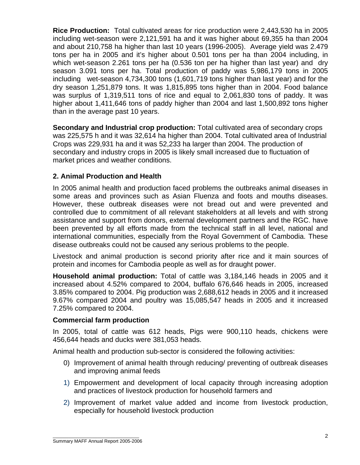**Rice Production:** Total cultivated areas for rice production were 2,443,530 ha in 2005 including wet-season were 2,121,591 ha and it was higher about 69,355 ha than 2004 and about 210,758 ha higher than last 10 years (1996-2005). Average yield was 2.479 tons per ha in 2005 and it's higher about 0.501 tons per ha than 2004 including, in which wet-season 2.261 tons per ha (0.536 ton per ha higher than last year) and dry season 3.091 tons per ha. Total production of paddy was 5,986,179 tons in 2005 including wet-season 4,734,300 tons (1,601,719 tons higher than last year) and for the dry season 1,251,879 tons. It was 1,815,895 tons higher than in 2004. Food balance was surplus of 1,319,511 tons of rice and equal to 2,061,830 tons of paddy. It was higher about 1,411,646 tons of paddy higher than 2004 and last 1,500,892 tons higher than in the average past 10 years.

**Secondary and Industrial crop production:** Total cultivated area of secondary crops was 225,575 h and it was 32,614 ha higher than 2004. Total cultivated area of Industrial Crops was 229,931 ha and it was 52,233 ha larger than 2004. The production of secondary and industry crops in 2005 is likely small increased due to fluctuation of market prices and weather conditions.

#### **2. Animal Production and Health**

In 2005 animal health and production faced problems the outbreaks animal diseases in some areas and provinces such as Asian Fluenza and foots and mouths diseases. However, these outbreak diseases were not bread out and were prevented and controlled due to commitment of all relevant stakeholders at all levels and with strong assistance and support from donors, external development partners and the RGC. have been prevented by all efforts made from the technical staff in all level, national and international communities, especially from the Royal Government of Cambodia. These disease outbreaks could not be caused any serious problems to the people.

Livestock and animal production is second priority after rice and it main sources of protein and incomes for Cambodia people as well as for draught power.

**Household animal production:** Total of cattle was 3,184,146 heads in 2005 and it increased about 4.52% compared to 2004, buffalo 676,646 heads in 2005, increased 3.85% compared to 2004. Pig production was 2,688,612 heads in 2005 and it increased 9.67% compared 2004 and poultry was 15,085,547 heads in 2005 and it increased 7.25% compared to 2004.

#### **Commercial farm production**

In 2005, total of cattle was 612 heads, Pigs were 900,110 heads, chickens were 456,644 heads and ducks were 381,053 heads.

Animal health and production sub-sector is considered the following activities:

- 0) Improvement of animal health through reducing/ preventing of outbreak diseases and improving animal feeds
- 1) Empowerment and development of local capacity through increasing adoption and practices of livestock production for household farmers and
- 2) Improvement of market value added and income from livestock production, especially for household livestock production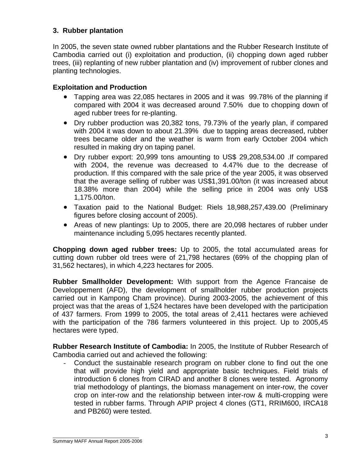# **3. Rubber plantation**

In 2005, the seven state owned rubber plantations and the Rubber Research Institute of Cambodia carried out (i) exploitation and production, (ii) chopping down aged rubber trees, (iii) replanting of new rubber plantation and (iv) improvement of rubber clones and planting technologies.

#### **Exploitation and Production**

- Tapping area was 22,085 hectares in 2005 and it was 99.78% of the planning if compared with 2004 it was decreased around 7.50% due to chopping down of aged rubber trees for re-planting.
- Dry rubber production was 20,382 tons, 79.73% of the yearly plan, if compared with 2004 it was down to about 21.39% due to tapping areas decreased, rubber trees became older and the weather is warm from early October 2004 which resulted in making dry on taping panel.
- Dry rubber export: 20,999 tons amounting to US\$ 29,208,534.00 .If compared with 2004, the revenue was decreased to 4.47% due to the decrease of production. If this compared with the sale price of the year 2005, it was observed that the average selling of rubber was US\$1,391.00/ton (it was increased about 18.38% more than 2004) while the selling price in 2004 was only US\$ 1,175.00/ton.
- Taxation paid to the National Budget: Riels 18,988,257,439.00 (Preliminary figures before closing account of 2005).
- Areas of new plantings: Up to 2005, there are 20,098 hectares of rubber under maintenance including 5,095 hectares recently planted.

**Chopping down aged rubber trees:** Up to 2005, the total accumulated areas for cutting down rubber old trees were of 21,798 hectares (69% of the chopping plan of 31,562 hectares), in which 4,223 hectares for 2005.

**Rubber Smallholder Development:** With support from the Agence Francaise de Developpement (AFD), the development of smallholder rubber production projects carried out in Kampong Cham province). During 2003-2005, the achievement of this project was that the areas of 1,524 hectares have been developed with the participation of 437 farmers. From 1999 to 2005, the total areas of 2,411 hectares were achieved with the participation of the 786 farmers volunteered in this project. Up to 2005,45 hectares were typed.

**Rubber Research Institute of Cambodia:** In 2005, the Institute of Rubber Research of Cambodia carried out and achieved the following:

Conduct the sustainable research program on rubber clone to find out the one that will provide high yield and appropriate basic techniques. Field trials of introduction 6 clones from CIRAD and another 8 clones were tested. Agronomy trial methodology of plantings, the biomass management on inter-row, the cover crop on inter-row and the relationship between inter-row & multi-cropping were tested in rubber farms. Through APIP project 4 clones (GT1, RRIM600, IRCA18 and PB260) were tested.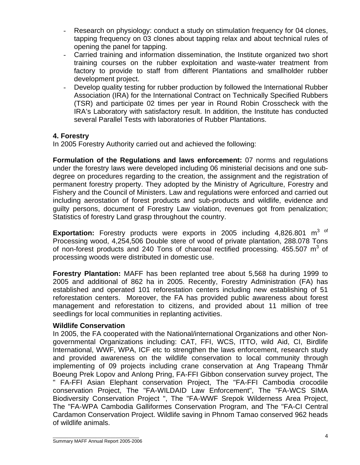- Research on physiology: conduct a study on stimulation frequency for 04 clones, tapping frequency on 03 clones about tapping relax and about technical rules of opening the panel for tapping.
- Carried training and information dissemination, the Institute organized two short training courses on the rubber exploitation and waste-water treatment from factory to provide to staff from different Plantations and smallholder rubber development project.
- Develop quality testing for rubber production by followed the International Rubber Association (IRA) for the International Contract on Technically Specified Rubbers (TSR) and participate 02 times per year in Round Robin Crosscheck with the IRA's Laboratory with satisfactory result. In addition, the Institute has conducted several Parallel Tests with laboratories of Rubber Plantations.

#### **4. Forestry**

In 2005 Forestry Authority carried out and achieved the following:

**Formulation of the Regulations and laws enforcement:** 07 norms and regulations under the forestry laws were developed including 06 ministerial decisions and one subdegree on procedures regarding to the creation, the assignment and the registration of permanent forestry property. They adopted by the Ministry of Agriculture, Forestry and Fishery and the Council of Ministers. Law and regulations were enforced and carried out including aerostation of forest products and sub-products and wildlife, evidence and guilty persons, document of Forestry Law violation, revenues got from penalization; Statistics of forestry Land grasp throughout the country.

**Exportation:** Forestry products were exports in 2005 including 4,826.801 m<sup>3 of</sup> Processing wood, 4,254,506 Double stere of wood of private plantation, 288.078 Tons of non-forest products and 240 Tons of charcoal rectified processing. 455.507  $m^3$  of processing woods were distributed in domestic use.

**Forestry Plantation:** MAFF has been replanted tree about 5,568 ha during 1999 to 2005 and additional of 862 ha in 2005. Recently, Forestry Administration (FA) has established and operated 101 reforestation centers including new establishing of 51 reforestation centers. Moreover, the FA has provided public awareness about forest management and reforestation to citizens, and provided about 11 million of tree seedlings for local communities in replanting activities.

#### **Wildlife Conservation**

In 2005, the FA cooperated with the National/international Organizations and other Nongovernmental Organizations including: CAT, FFI, WCS, ITTO, wild Aid, CI, Birdlife International, WWF, WPA, ICF etc to strengthen the laws enforcement, research study and provided awareness on the wildlife conservation to local community through implementing of 09 projects including crane conservation at Ang Trapeang Thmâr Boeung Prek Lopov and Anlong Pring, FA-FFI Gibbon conservation survey project, The " FA-FFI Asian Elephant conservation Project, The "FA-FFI Cambodia crocodile conservation Project, The "FA-WILDAID Law Enforcement", The "FA-WCS SIMA Biodiversity Conservation Project ", The "FA-WWF Srepok Wilderness Area Project, The "FA-WPA Cambodia Galliformes Conservation Program, and The "FA-CI Central Cardamon Conservation Project. Wildlife saving in Phnom Tamao conserved 962 heads of wildlife animals.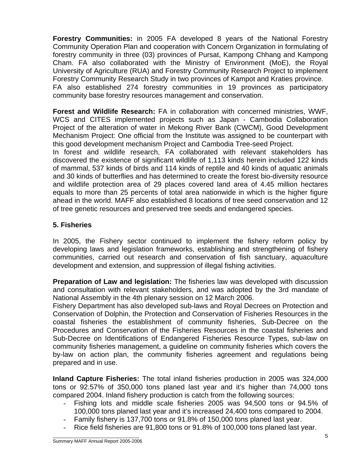**Forestry Communities:** in 2005 FA developed 8 years of the National Forestry Community Operation Plan and cooperation with Concern Organization in formulating of forestry community in three (03) provinces of Pursat, Kampong Chhang and Kampong Cham. FA also collaborated with the Ministry of Environment (MoE), the Royal University of Agriculture (RUA) and Forestry Community Research Project to implement Forestry Community Research Study in two provinces of Kampot and Kraties province. FA also established 274 forestry communities in 19 provinces as participatory community base forestry resources management and conservation.

**Forest and Wildlife Research:** FA in collaboration with concerned ministries, WWF, WCS and CITES implemented projects such as Japan - Cambodia Collaboration Project of the alteration of water in Mekong River Bank (CWCM), Good Development Mechanism Project: One official from the Institute was assigned to be counterpart with this good development mechanism Project and Cambodia Tree-seed Project. In forest and wildlife research, FA collaborated with relevant stakeholders has discovered the existence of significant wildlife of 1,113 kinds herein included 122 kinds of mammal, 537 kinds of birds and 114 kinds of reptile and 40 kinds of aquatic animals and 30 kinds of butterflies and has determined to create the forest bio-diversity resource and wildlife protection area of 29 places covered land area of 4.45 million hectares equals to more than 25 percents of total area nationwide in which is the higher figure ahead in the world. MAFF also established 8 locations of tree seed conservation and 12 of tree genetic resources and preserved tree seeds and endangered species.

# **5. Fisheries**

In 2005, the Fishery sector continued to implement the fishery reform policy by developing laws and legislation frameworks, establishing and strengthening of fishery communities, carried out research and conservation of fish sanctuary, aquaculture development and extension, and suppression of illegal fishing activities.

**Preparation of Law and legislation:** The fisheries law was developed with discussion and consultation with relevant stakeholders, and was adopted by the 3rd mandate of National Assembly in the 4th plenary session on 12 March 2006.

Fishery Department has also developed sub-laws and Royal Decrees on Protection and Conservation of Dolphin, the Protection and Conservation of Fisheries Resources in the coastal fisheries the establishment of community fisheries, Sub-Decree on the Procedures and Conservation of the Fisheries Resources in the coastal fisheries and Sub-Decree on Identifications of Endangered Fisheries Resource Types, sub-law on community fisheries management, a guideline on community fisheries which covers the by-law on action plan, the community fisheries agreement and regulations being prepared and in use.

**Inland Capture Fisheries:** The total inland fisheries production in 2005 was 324,000 tons or 92.57% of 350,000 tons planed last year and it's higher than 74,000 tons compared 2004. Inland fishery production is catch from the following sources:

- Fishing lots and middle scale fisheries 2005 was 94,500 tons or 94.5% of 100,000 tons planed last year and it's increased 24,400 tons compared to 2004.
- Family fishery is 137,700 tons or 91.8% of 150,000 tons planed last year.
- Rice field fisheries are 91,800 tons or 91.8% of 100,000 tons planed last year.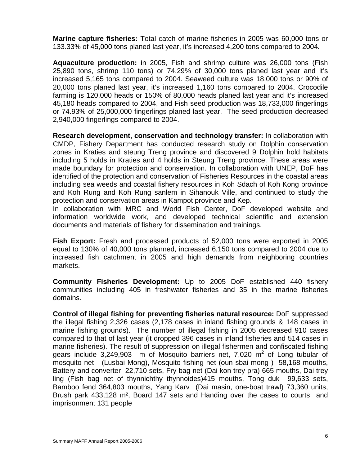**Marine capture fisheries:** Total catch of marine fisheries in 2005 was 60,000 tons or 133.33% of 45,000 tons planed last year, it's increased 4,200 tons compared to 2004*.* 

**Aquaculture production:** in 2005, Fish and shrimp culture was 26,000 tons (Fish 25,890 tons, shrimp 110 tons) or 74.29% of 30,000 tons planed last year and it's increased 5,165 tons compared to 2004. Seaweed culture was 18,000 tons or 90% of 20,000 tons planed last year, it's increased 1,160 tons compared to 2004. Crocodile farming is 120,000 heads or 150% of 80,000 heads planed last year and it's increased 45,180 heads compared to 2004, and Fish seed production was 18,733,000 fingerlings or 74.93% of 25,000,000 fingerlings planed last year. The seed production decreased 2,940,000 fingerlings compared to 2004.

**Research development, conservation and technology transfer:** In collaboration with CMDP, Fishery Department has conducted research study on Dolphin conservation zones in Kraties and steung Treng province and discovered 9 Dolphin hold habitats including 5 holds in Kraties and 4 holds in Steung Treng province. These areas were made boundary for protection and conservation. In collaboration with UNEP, DoF has identified of the protection and conservation of Fisheries Resources in the coastal areas including sea weeds and coastal fishery resources in Koh Sdach of Koh Kong province and Koh Rung and Koh Rung sanlem in Sihanouk Ville, and continued to study the protection and conservation areas in Kampot province and Kep.

In collaboration with MRC and World Fish Center, DoF developed website and information worldwide work, and developed technical scientific and extension documents and materials of fishery for dissemination and trainings.

**Fish Export:** Fresh and processed products of 52,000 tons were exported in 2005 equal to 130% of 40,000 tons planned, increased 6,150 tons compared to 2004 due to increased fish catchment in 2005 and high demands from neighboring countries markets.

**Community Fisheries Development:** Up to 2005 DoF established 440 fishery communities including 405 in freshwater fisheries and 35 in the marine fisheries domains.

**Control of illegal fishing for preventing fisheries natural resource:** DoF suppressed the illegal fishing 2,326 cases (2,178 cases in inland fishing grounds & 148 cases in marine fishing grounds). The number of illegal fishing in 2005 decreased 910 cases compared to that of last year (it dropped 396 cases in inland fisheries and 514 cases in marine fisheries). The result of suppression on illegal fishermen and confiscated fishing gears include  $3,249,903$  m of Mosquito barriers net, 7,020 m<sup>2</sup> of Long tubular of mosquito net (Lusbai Mong), Mosquito fishing net (oun sbai mong ) 58,168 mouths, Battery and converter 22,710 sets, Fry bag net (Dai kon trey pra) 665 mouths, Dai trey ling (Fish bag net of thynnichthy thynnoides)415 mouths, Tong duk 99,633 sets, Bamboo fend 364,803 mouths, Yang Karv (Dai masin, one-boat trawl) 73,360 units, Brush park 433,128 m², Board 147 sets and Handing over the cases to courts and imprisonment 131 people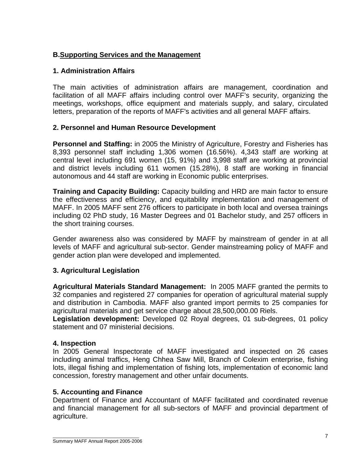# **B.Supporting Services and the Management**

## **1. Administration Affairs**

The main activities of administration affairs are management, coordination and facilitation of all MAFF affairs including control over MAFF's security, organizing the meetings, workshops, office equipment and materials supply, and salary, circulated letters, preparation of the reports of MAFF's activities and all general MAFF affairs.

#### **2. Personnel and Human Resource Development**

**Personnel and Staffing:** in 2005 the Ministry of Agriculture, Forestry and Fisheries has 8,393 personnel staff including 1,306 women (16.56%). 4,343 staff are working at central level including 691 women (15, 91%) and 3,998 staff are working at provincial and district levels including 611 women (15.28%), 8 staff are working in financial autonomous and 44 staff are working in Economic public enterprises.

**Training and Capacity Building:** Capacity building and HRD are main factor to ensure the effectiveness and efficiency, and equitability implementation and management of MAFF. In 2005 MAFF sent 276 officers to participate in both local and oversea trainings including 02 PhD study, 16 Master Degrees and 01 Bachelor study, and 257 officers in the short training courses.

Gender awareness also was considered by MAFF by mainstream of gender in at all levels of MAFF and agricultural sub-sector. Gender mainstreaming policy of MAFF and gender action plan were developed and implemented.

# **3. Agricultural Legislation**

**Agricultural Materials Standard Management:** In 2005 MAFF granted the permits to 32 companies and registered 27 companies for operation of agricultural material supply and distribution in Cambodia. MAFF also granted import permits to 25 companies for agricultural materials and get service charge about 28,500,000.00 Riels.

**Legislation development:** Developed 02 Royal degrees, 01 sub-degrees, 01 policy statement and 07 ministerial decisions.

#### **4. Inspection**

In 2005 General Inspectorate of MAFF investigated and inspected on 26 cases including animal traffics, Heng Chhea Saw Mill, Branch of Colexim enterprise, fishing lots, illegal fishing and implementation of fishing lots, implementation of economic land concession, forestry management and other unfair documents.

#### **5. Accounting and Finance**

Department of Finance and Accountant of MAFF facilitated and coordinated revenue and financial management for all sub-sectors of MAFF and provincial department of agriculture.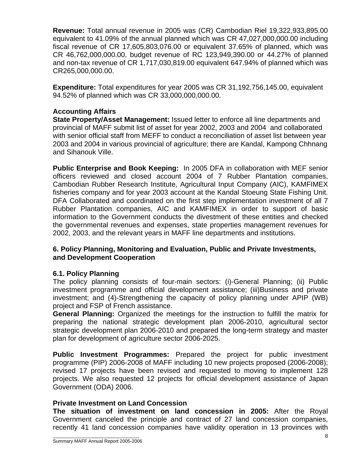**Revenue:** Total annual revenue in 2005 was (CR) Cambodian Riel 19,322,933,895.00 equivalent to 41.09% of the annual planned which was CR 47,027,000,000.00 including fiscal revenue of CR 17,605,803,076.00 or equivalent 37.65% of planned, which was CR 46,762,000,000.00, budget revenue of RC 123,949,390.00 or 44.27% of planned and non-tax revenue of CR 1,717,030,819.00 equivalent 647.94% of planned which was CR265,000,000.00.

**Expenditure:** Total expenditures for year 2005 was CR 31,192,756,145.00, equivalent 94.52% of planned which was CR 33,000,000,000.00.

## **Accounting Affairs**

**State Property/Asset Management:** Issued letter to enforce all line departments and provincial of MAFF submit list of asset for year 2002, 2003 and 2004 and collaborated with senior official staff from MEFF to conduct a reconciliation of asset list between year 2003 and 2004 in various provincial of agriculture; there are Kandal, Kampong Chhnang and Sihanouk Ville.

**Public Enterprise and Book Keeping:** In 2005 DFA in collaboration with MEF senior officers reviewed and closed account 2004 of 7 Rubber Plantation companies, Cambodian Rubber Research Institute, Agricultural Input Company (AIC), KAMFIMEX fisheries company and for year 2003 account at the Kandal Stoeung State Fishing Unit. DFA Collaborated and coordinated on the first step implementation investment of all 7 Rubber Plantation companies, AIC and KAMFIMEX in order to support of basic information to the Government conducts the divestment of these entities and checked the governmental revenues and expenses, state properties management revenues for 2002, 2003, and the relevant years in MAFF line departments and institutions.

#### **6. Policy Planning, Monitoring and Evaluation, Public and Private Investments, and Development Cooperation**

# **6.1. Policy Planning**

The policy planning consists of four-main sectors: (i)-General Planning; (ii) Public investment programme and official development assistance; (iii)Business and private investment; and (4)-Strengthening the capacity of policy planning under APIP (WB) project and FSP of French assistance.

**General Planning:** Organized the meetings for the instruction to fulfill the matrix for preparing the national strategic development plan 2006-2010, agricultural sector strategic development plan 2006-2010 and prepared the long-term strategy and master plan for development of agriculture sector 2006-2025.

**Public Investment Programmes:** Prepared the project for public investment programme (PIP) 2006-2008 of MAFF including 10 new projects proposed (2006-2008); revised 17 projects have been revised and requested to moving to implement 128 projects. We also requested 12 projects for official development assistance of Japan Government (ODA) 2006.

#### **Private Investment on Land Concession**

**The situation of investment on land concession in 2005:** After the Royal Government canceled the principle and contract of 27 land concession companies, recently 41 land concession companies have validity operation in 13 provinces with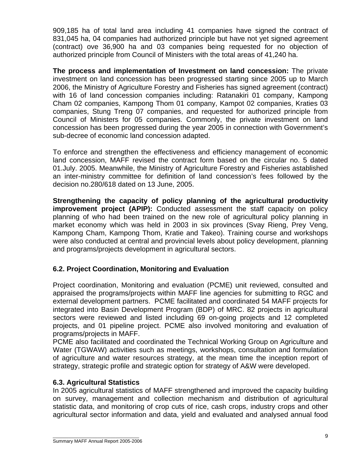909,185 ha of total land area including 41 companies have signed the contract of 831,045 ha, 04 companies had authorized principle but have not yet signed agreement (contract) ove 36,900 ha and 03 companies being requested for no objection of authorized principle from Council of Ministers with the total areas of 41,240 ha.

**The process and implementation of Investment on land concession:** The private investment on land concession has been progressed starting since 2005 up to March 2006, the Ministry of Agriculture Forestry and Fisheries has signed agreement (contract) with 16 of land concession companies including: Ratanakiri 01 company, Kampong Cham 02 companies, Kampong Thom 01 company, Kampot 02 companies, Kraties 03 companies, Stung Treng 07 companies, and requested for authorized principle from Council of Ministers for 05 companies. Commonly, the private investment on land concession has been progressed during the year 2005 in connection with Government's sub-decree of economic land concession adapted.

To enforce and strengthen the effectiveness and efficiency management of economic land concession, MAFF revised the contract form based on the circular no. 5 dated 01.July. 2005. Meanwhile, the Ministry of Agriculture Forestry and Fisheries astablished an inter-ministry committee for definition of land concession's fees followed by the decision no.280/618 dated on 13 June, 2005.

**Strengthening the capacity of policy planning of the agricultural productivity improvement project (APIP):** Conducted assessment the staff capacity on policy planning of who had been trained on the new role of agricultural policy planning in market economy which was held in 2003 in six provinces (Svay Rieng, Prey Veng, Kampong Cham, Kampong Thom, Kratie and Takeo). Training course and workshops were also conducted at central and provincial levels about policy development, planning and programs/projects development in agricultural sectors.

# **6.2. Project Coordination, Monitoring and Evaluation**

Project coordination, Monitoring and evaluation (PCME) unit reviewed, consulted and appraised the programs/projects within MAFF line agencies for submitting to RGC and external development partners. PCME facilitated and coordinated 54 MAFF projects for integrated into Basin Development Program (BDP) of MRC. 82 projects in agricultural sectors were reviewed and listed including 69 on-going projects and 12 completed projects, and 01 pipeline project. PCME also involved monitoring and evaluation of programs/projects in MAFF.

PCME also facilitated and coordinated the Technical Working Group on Agriculture and Water (TGWAW) activities such as meetings, workshops, consultation and formulation of agriculture and water resources strategy, at the mean time the inception report of strategy, strategic profile and strategic option for strategy of A&W were developed.

# **6.3. Agricultural Statistics**

In 2005 agricultural statistics of MAFF strengthened and improved the capacity building on survey, management and collection mechanism and distribution of agricultural statistic data, and monitoring of crop cuts of rice, cash crops, industry crops and other agricultural sector information and data, yield and evaluated and analysed annual food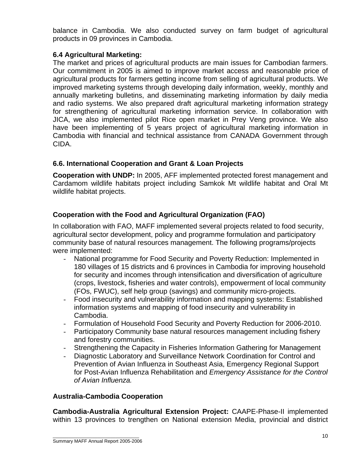balance in Cambodia. We also conducted survey on farm budget of agricultural products in 09 provinces in Cambodia.

# **6.4 Agricultural Marketing:**

The market and prices of agricultural products are main issues for Cambodian farmers. Our commitment in 2005 is aimed to improve market access and reasonable price of agricultural products for farmers getting income from selling of agricultural products. We improved marketing systems through developing daily information, weekly, monthly and annually marketing bulletins, and disseminating marketing information by daily media and radio systems. We also prepared draft agricultural marketing information strategy for strengthening of agricultural marketing information service. In collaboration with JICA, we also implemented pilot Rice open market in Prey Veng province. We also have been implementing of 5 years project of agricultural marketing information in Cambodia with financial and technical assistance from CANADA Government through CIDA.

# **6.6. International Cooperation and Grant & Loan Projects**

**Cooperation with UNDP:** In 2005, AFF implemented protected forest management and Cardamom wildlife habitats project including Samkok Mt wildlife habitat and Oral Mt wildlife habitat projects.

# **Cooperation with the Food and Agricultural Organization (FAO)**

In collaboration with FAO, MAFF implemented several projects related to food security, agricultural sector development, policy and programme formulation and participatory community base of natural resources management. The following programs/projects were implemented:

- National programme for Food Security and Poverty Reduction: Implemented in 180 villages of 15 districts and 6 provinces in Cambodia for improving household for security and incomes through intensification and diversification of agriculture (crops, livestock, fisheries and water controls), empowerment of local community (FOs, FWUC), self help group (savings) and community micro-projects.
- Food insecurity and vulnerability information and mapping systems: Established information systems and mapping of food insecurity and vulnerability in Cambodia.
- Formulation of Household Food Security and Poverty Reduction for 2006-2010.
- Participatory Community base natural resources management including fishery and forestry communities.
- Strengthening the Capacity in Fisheries Information Gathering for Management
- Diagnostic Laboratory and Surveillance Network Coordination for Control and Prevention of Avian Influenza in Southeast Asia, Emergency Regional Support for Post-Avian Influenza Rehabilitation and *Emergency Assistance for the Control of Avian Influenza.*

# **Australia-Cambodia Cooperation**

**Cambodia-Australia Agricultural Extension Project:** CAAPE-Phase-II implemented within 13 provinces to trengthen on National extension Media, provincial and district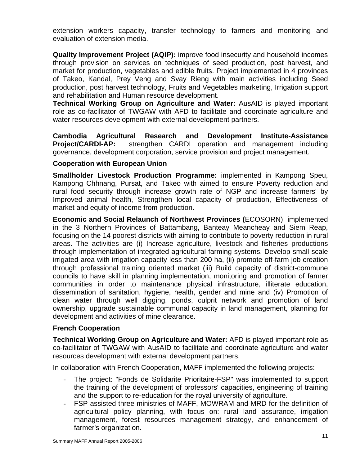extension workers capacity, transfer technology to farmers and monitoring and evaluation of extension media.

**Quality Improvement Project (AQIP):** improve food insecurity and household incomes through provision on services on techniques of seed production, post harvest, and market for production, vegetables and edible fruits. Project implemented in 4 provinces of Takeo, Kandal, Prey Veng and Svay Rieng with main activities including Seed production, post harvest technology, Fruits and Vegetables marketing, Irrigation support and rehabilitation and Human resource development.

**Technical Working Group on Agriculture and Water:** AusAID is played important role as co-facilitator of TWGAW with AFD to facilitate and coordinate agriculture and water resources development with external development partners.

**Cambodia Agricultural Research and Development Institute-Assistance Project/CARDI-AP:** strengthen CARDI operation and management including governance, development corporation, service provision and project management.

#### **Cooperation with European Union**

**Smallholder Livestock Production Programme:** implemented in Kampong Speu, Kampong Chhnang, Pursat, and Takeo with aimed to ensure Poverty reduction and rural food security through increase growth rate of NGP and increase farmers' by Improved animal health, Strengthen local capacity of production, Effectiveness of market and equity of income from production.

**Economic and Social Relaunch of Northwest Provinces (**ECOSORN) implemented in the 3 Northern Provinces of Battambang, Banteay Meancheay and Siem Reap, focusing on the 14 poorest districts with aiming to contribute to poverty reduction in rural areas. The activities are (i) Increase agriculture, livestock and fisheries productions through implementation of integrated agricultural farming systems. Develop small scale irrigated area with irrigation capacity less than 200 ha, (ii) promote off-farm job creation through professional training oriented market (iii) Build capacity of district-commune councils to have skill in planning implementation, monitoring and promotion of farmer communities in order to maintenance physical infrastructure, illiterate education, dissemination of sanitation, hygiene, health, gender and mine and (iv) Promotion of clean water through well digging, ponds, culprit network and promotion of land ownership, upgrade sustainable communal capacity in land management, planning for development and activities of mine clearance.

# **French Cooperation**

**Technical Working Group on Agriculture and Water:** AFD is played important role as co-facilitator of TWGAW with AusAID to facilitate and coordinate agriculture and water resources development with external development partners.

In collaboration with French Cooperation, MAFF implemented the following projects:

- The project: "Fonds de Solidarite Prioritaire-FSP" was implemented to support the training of the development of professors' capacities, engineering of training and the support to re-education for the royal university of agriculture.
- FSP assisted three ministries of MAFF, MOWRAM and MRD for the definition of agricultural policy planning, with focus on: rural land assurance, irrigation management, forest resources management strategy, and enhancement of farmer's organization.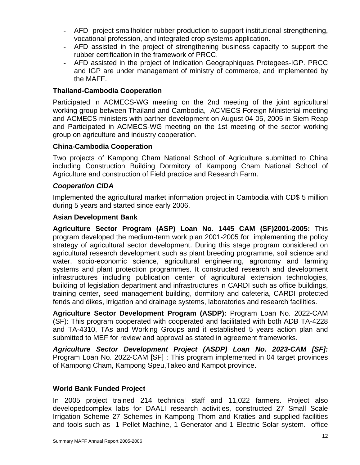- AFD project smallholder rubber production to support institutional strengthening, vocational profession, and integrated crop systems application.
- AFD assisted in the project of strengthening business capacity to support the rubber certification in the framework of PRCC.
- AFD assisted in the project of Indication Geographiques Protegees-IGP. PRCC and IGP are under management of ministry of commerce, and implemented by the MAFF.

# **Thailand-Cambodia Cooperation**

Participated in ACMECS-WG meeting on the 2nd meeting of the joint agricultural working group between Thailand and Cambodia, ACMECS Foreign Ministerial meeting and ACMECS ministers with partner development on August 04-05, 2005 in Siem Reap and Participated in ACMECS-WG meeting on the 1st meeting of the sector working group on agriculture and industry cooperation.

# **China-Cambodia Cooperation**

Two projects of Kampong Cham National School of Agriculture submitted to China including Construction Building Dormitory of Kampong Cham National School of Agriculture and construction of Field practice and Research Farm.

# *Cooperation CIDA*

Implemented the agricultural market information project in Cambodia with CD\$ 5 million during 5 years and started since early 2006.

#### **Asian Development Bank**

**Agriculture Sector Program (ASP) Loan No. 1445 CAM (SF)2001-2005:** This program developed the medium-term work plan 2001-2005 for implementing the policy strategy of agricultural sector development. During this stage program considered on agricultural research development such as plant breeding programme, soil science and water, socio-economic science, agricultural engineering, agronomy and farming systems and plant protection programmes. It constructed research and development infrastructures including publication center of agricultural extension technologies, building of legislation department and infrastructures in CARDI such as office buildings, training center, seed management building, dormitory and cafeteria, CARDI protected fends and dikes, irrigation and drainage systems, laboratories and research facilities.

**Agriculture Sector Development Program (ASDP):** Program Loan No. 2022-CAM (SF): This program cooperated with cooperated and facilitated with both ADB TA-4228 and TA-4310, TAs and Working Groups and it established 5 years action plan and submitted to MEF for review and approval as stated in agreement frameworks.

*Agriculture Sector Development Project (ASDP) Loan No. 2023-CAM [SF]:* Program Loan No. 2022-CAM [SF] : This program implemented in 04 target provinces of Kampong Cham, Kampong Speu,Takeo and Kampot province.

#### **World Bank Funded Project**

In 2005 project trained 214 technical staff and 11,022 farmers. Project also developedcomplex labs for DAALI research activities, constructed 27 Small Scale Irrigation Scheme 27 Schemes in Kampong Thom and Kraties and supplied facilities and tools such as 1 Pellet Machine, 1 Generator and 1 Electric Solar system. office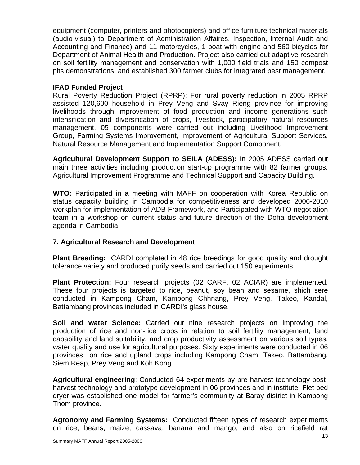equipment (computer, printers and photocopiers) and office furniture technical materials (audio-visual) to Department of Administration Affaires, Inspection, Internal Audit and Accounting and Finance) and 11 motorcycles, 1 boat with engine and 560 bicycles for Department of Animal Health and Production. Project also carried out adaptive research on soil fertility management and conservation with 1,000 field trials and 150 compost pits demonstrations, and established 300 farmer clubs for integrated pest management.

#### **IFAD Funded Project**

Rural Poverty Reduction Project (RPRP): For rural poverty reduction in 2005 RPRP assisted 120,600 household in Prey Veng and Svay Rieng province for improving livelihoods through improvement of food production and income generations such intensification and diversification of crops, livestock, participatory natural resources management. 05 components were carried out including Livelihood Improvement Group, Farming Systems Improvement, Improvement of Agricultural Support Services, Natural Resource Management and Implementation Support Component.

**Agricultural Development Support to SEILA (ADESS):** In 2005 ADESS carried out main three activities including production start-up programme with 82 farmer groups, Agricultural Improvement Programme and Technical Support and Capacity Building.

**WTO:** Participated in a meeting with MAFF on cooperation with Korea Republic on status capacity building in Cambodia for competitiveness and developed 2006-2010 workplan for implementation of ADB Framework, and Participated with WTO negotiation team in a workshop on current status and future direction of the Doha development agenda in Cambodia.

# **7. Agricultural Research and Development**

**Plant Breeding:** CARDI completed in 48 rice breedings for good quality and drought tolerance variety and produced purify seeds and carried out 150 experiments.

**Plant Protection:** Four research projects (02 CARF, 02 ACIAR) are implemented. These four projects is targeted to rice, peanut, soy bean and sesame, shich sere conducted in Kampong Cham, Kampong Chhnang, Prey Veng, Takeo, Kandal, Battambang provinces included in CARDI's glass house.

**Soil and water Science:** Carried out nine research projects on improving the production of rice and non-rice crops in relation to soil fertility management, land capability and land suitability, and crop productivity assessment on various soil types, water quality and use for agricultural purposes. Sixty experiments were conducted in 06 provinces on rice and upland crops including Kampong Cham, Takeo, Battambang, Siem Reap, Prey Veng and Koh Kong.

**Agricultural engineering**: Conducted 64 experiments by pre harvest technology postharvest technology and prototype development in 06 provinces and in institute. Flet bed dryer was established one model for farmer's community at Baray district in Kampong Thom province.

**Agronomy and Farming Systems:** Conducted fifteen types of research experiments on rice, beans, maize, cassava, banana and mango, and also on ricefield rat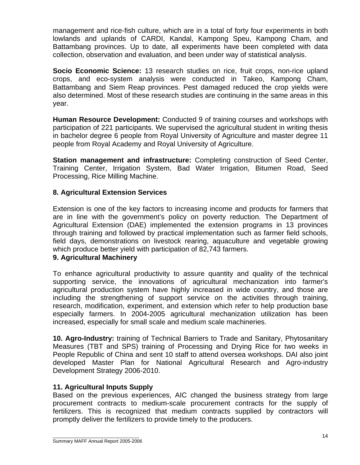management and rice-fish culture, which are in a total of forty four experiments in both lowlands and uplands of CARDI, Kandal, Kampong Speu, Kampong Cham, and Battambang provinces. Up to date, all experiments have been completed with data collection, observation and evaluation, and been under way of statistical analysis.

**Socio Economic Science:** 13 research studies on rice, fruit crops, non-rice upland crops, and eco-system analysis were conducted in Takeo, Kampong Cham, Battambang and Siem Reap provinces. Pest damaged reduced the crop yields were also determined. Most of these research studies are continuing in the same areas in this year.

**Human Resource Development:** Conducted 9 of training courses and workshops with participation of 221 participants. We supervised the agricultural student in writing thesis in bachelor degree 6 people from Royal University of Agriculture and master degree 11 people from Royal Academy and Royal University of Agriculture.

**Station management and infrastructure:** Completing construction of Seed Center, Training Center, Irrigation System, Bad Water Irrigation, Bitumen Road, Seed Processing, Rice Milling Machine.

#### **8. Agricultural Extension Services**

Extension is one of the key factors to increasing income and products for farmers that are in line with the government's policy on poverty reduction. The Department of Agricultural Extension (DAE) implemented the extension programs in 13 provinces through training and followed by practical implementation such as farmer field schools, field days, demonstrations on livestock rearing, aquaculture and vegetable growing which produce better yield with participation of 82,743 farmers.

#### **9. Agricultural Machinery**

To enhance agricultural productivity to assure quantity and quality of the technical supporting service, the innovations of agricultural mechanization into farmer's agricultural production system have highly increased in wide country, and those are including the strengthening of support service on the activities through training, research, modification, experiment, and extension which refer to help production base especially farmers. In 2004-2005 agricultural mechanization utilization has been increased, especially for small scale and medium scale machineries.

**10. Agro-Industry:** training of Technical Barriers to Trade and Sanitary, Phytosanitary Measures (TBT and SPS) training of Processing and Drying Rice for two weeks in People Republic of China and sent 10 staff to attend oversea workshops. DAI also joint developed Master Plan for National Agricultural Research and Agro-industry Development Strategy 2006-2010.

#### **11. Agricultural Inputs Supply**

Based on the previous experiences, AIC changed the business strategy from large procurement contracts to medium-scale procurement contracts for the supply of fertilizers. This is recognized that medium contracts supplied by contractors will promptly deliver the fertilizers to provide timely to the producers.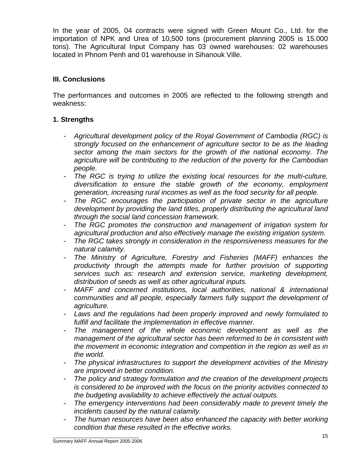In the year of 2005, 04 contracts were signed with Green Mount Co., Ltd. for the importation of NPK and Urea of 10,500 tons (procurement planning 2005 is 15.000 tons). The Agricultural Input Company has 03 owned warehouses: 02 warehouses located in Phnom Penh and 01 warehouse in Sihanouk Ville.

#### **III. Conclusions**

The performances and outcomes in 2005 are reflected to the following strength and weakness:

# **1. Strengths**

- *Agricultural development policy of the Royal Government of Cambodia (RGC) is strongly focused on the enhancement of agriculture sector to be as the leading sector among the main sectors for the growth of the national economy. The agriculture will be contributing to the reduction of the poverty for the Cambodian people.*
- *The RGC is trying to utilize the existing local resources for the multi-culture, diversification to ensure the stable growth of the economy, employment generation, increasing rural incomes as well as the food security for all people.*
- *The RGC encourages the participation of private sector in the agriculture development by providing the land titles, properly distributing the agricultural land through the social land concession framework.*
- *The RGC promotes the construction and management of irrigation system for agricultural production and also effectively manage the existing irrigation system.*
- *The RGC takes strongly in consideration in the responsiveness measures for the natural calamity.*
- *The Ministry of Agriculture, Forestry and Fisheries (MAFF) enhances the productivity through the attempts made for further provision of supporting services such as: research and extension service, marketing development, distribution of seeds as well as other agricultural inputs.*
- *MAFF and concerned institutions, local authorities, national & international communities and all people, especially farmers fully support the development of agriculture.*
- *Laws and the regulations had been properly improved and newly formulated to fulfill and facilitate the implementation in effective manner.*
- The management of the whole economic development as well as the *management of the agricultural sector has been reformed to be in consistent with the movement in economic integration and competition in the region as well as in the world.*
- *The physical infrastructures to support the development activities of the Ministry are improved in better condition.*
- *The policy and strategy formulation and the creation of the development projects is considered to be improved with the focus on the priority activities connected to the budgeting availability to achieve effectively the actual outputs.*
- *The emergency interventions had been considerably made to prevent timely the incidents caused by the natural calamity.*
- The human resources have been also enhanced the capacity with better working *condition that these resulted in the effective works.*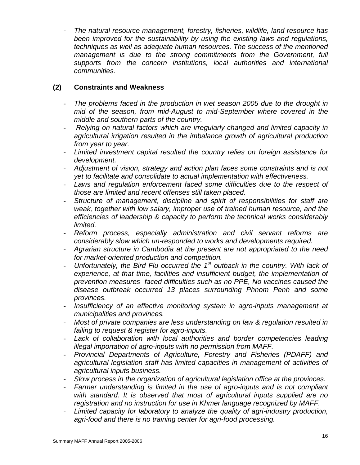- *The natural resource management, forestry, fisheries, wildlife, land resource has been improved for the sustainability by using the existing laws and regulations, techniques as well as adequate human resources. The success of the mentioned management is due to the strong commitments from the Government, full supports from the concern institutions, local authorities and international communities.* 

# **(2) Constraints and Weakness**

- *The problems faced in the production in wet season 2005 due to the drought in mid of the season, from mid-August to mid-September where covered in the middle and southern parts of the country.*
- - *Relying on natural factors which are irregularly changed and limited capacity in agricultural irrigation resulted in the imbalance growth of agricultural production from year to year.*
- *Limited investment capital resulted the country relies on foreign assistance for development.*
- *Adjustment of vision, strategy and action plan faces some constraints and is not yet to facilitate and consolidate to actual implementation with effectiveness.*
- *Laws and regulation enforcement faced some difficulties due to the respect of those are limited and recent offenses still taken placed.*
- *Structure of management, discipline and spirit of responsibilities for staff are weak, together with low salary, improper use of trained human resource, and the efficiencies of leadership & capacity to perform the technical works considerably limited.*
- *Reform process, especially administration and civil servant reforms are considerably slow which un-responded to works and developments required.*
- *Agrarian structure in Cambodia at the present are not appropriated to the need for market-oriented production and competition.*
- *Unfortunately, the Bird Flu occurred the 1st outback in the country. With lack of experience, at that time, facilities and insufficient budget, the implementation of prevention measures faced difficulties such as no PPE, No vaccines caused the disease outbreak occurred 13 places surrounding Phnom Penh and some provinces.*
- *Insufficiency of an effective monitoring system in agro-inputs management at municipalities and provinces.*
- *Most of private companies are less understanding on law & regulation resulted in failing to request & register for agro-inputs.*
- *Lack of collaboration with local authorities and border competencies leading illegal importation of agro-inputs with no permission from MAFF.*
- *Provincial Departments of Agriculture, Forestry and Fisheries (PDAFF) and agricultural legislation staff has limited capacities in management of activities of agricultural inputs business.*
- *Slow process in the organization of agricultural legislation office at the provinces.*
- Farmer understanding is limited in the use of agro-inputs and is not compliant *with standard. It is observed that most of agricultural inputs supplied are no registration and no instruction for use in Khmer language recognized by MAFF.*
- Limited capacity for laboratory to analyze the quality of agri-industry production, *agri-food and there is no training center for agri-food processing.*